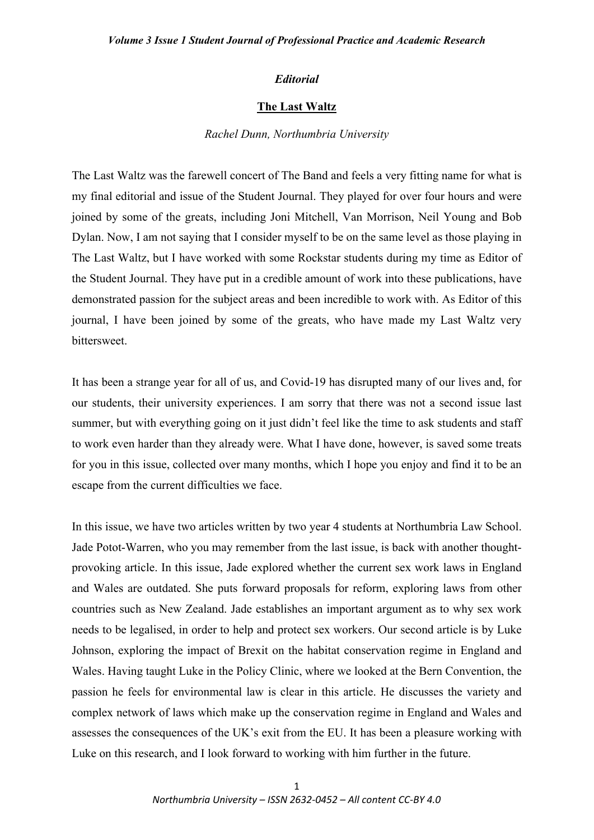## *Editorial*

## **The Last Waltz**

#### *Rachel Dunn, Northumbria University*

The Last Waltz was the farewell concert of The Band and feels a very fitting name for what is my final editorial and issue of the Student Journal. They played for over four hours and were joined by some of the greats, including Joni Mitchell, Van Morrison, Neil Young and Bob Dylan. Now, I am not saying that I consider myself to be on the same level as those playing in The Last Waltz, but I have worked with some Rockstar students during my time as Editor of the Student Journal. They have put in a credible amount of work into these publications, have demonstrated passion for the subject areas and been incredible to work with. As Editor of this journal, I have been joined by some of the greats, who have made my Last Waltz very bittersweet.

It has been a strange year for all of us, and Covid-19 has disrupted many of our lives and, for our students, their university experiences. I am sorry that there was not a second issue last summer, but with everything going on it just didn't feel like the time to ask students and staff to work even harder than they already were. What I have done, however, is saved some treats for you in this issue, collected over many months, which I hope you enjoy and find it to be an escape from the current difficulties we face.

In this issue, we have two articles written by two year 4 students at Northumbria Law School. Jade Potot-Warren, who you may remember from the last issue, is back with another thoughtprovoking article. In this issue, Jade explored whether the current sex work laws in England and Wales are outdated. She puts forward proposals for reform, exploring laws from other countries such as New Zealand. Jade establishes an important argument as to why sex work needs to be legalised, in order to help and protect sex workers. Our second article is by Luke Johnson, exploring the impact of Brexit on the habitat conservation regime in England and Wales. Having taught Luke in the Policy Clinic, where we looked at the Bern Convention, the passion he feels for environmental law is clear in this article. He discusses the variety and complex network of laws which make up the conservation regime in England and Wales and assesses the consequences of the UK's exit from the EU. It has been a pleasure working with Luke on this research, and I look forward to working with him further in the future.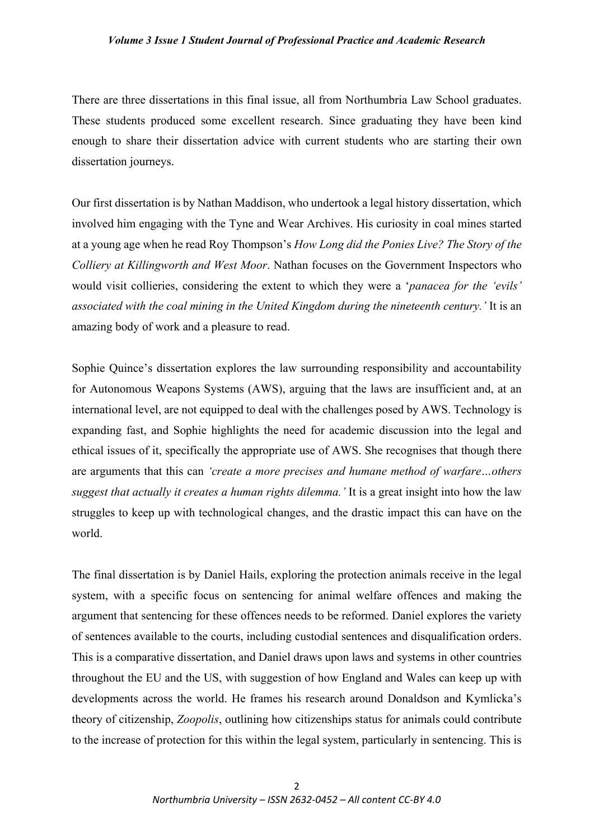# *Volume 3 Issue 1 Student Journal of Professional Practice and Academic Research*

There are three dissertations in this final issue, all from Northumbria Law School graduates. These students produced some excellent research. Since graduating they have been kind enough to share their dissertation advice with current students who are starting their own dissertation journeys.

Our first dissertation is by Nathan Maddison, who undertook a legal history dissertation, which involved him engaging with the Tyne and Wear Archives. His curiosity in coal mines started at a young age when he read Roy Thompson's *How Long did the Ponies Live? The Story of the Colliery at Killingworth and West Moor*. Nathan focuses on the Government Inspectors who would visit collieries, considering the extent to which they were a '*panacea for the 'evils' associated with the coal mining in the United Kingdom during the nineteenth century.'* It is an amazing body of work and a pleasure to read.

Sophie Quince's dissertation explores the law surrounding responsibility and accountability for Autonomous Weapons Systems (AWS), arguing that the laws are insufficient and, at an international level, are not equipped to deal with the challenges posed by AWS. Technology is expanding fast, and Sophie highlights the need for academic discussion into the legal and ethical issues of it, specifically the appropriate use of AWS. She recognises that though there are arguments that this can *'create a more precises and humane method of warfare…others suggest that actually it creates a human rights dilemma.'* It is a great insight into how the law struggles to keep up with technological changes, and the drastic impact this can have on the world.

The final dissertation is by Daniel Hails, exploring the protection animals receive in the legal system, with a specific focus on sentencing for animal welfare offences and making the argument that sentencing for these offences needs to be reformed. Daniel explores the variety of sentences available to the courts, including custodial sentences and disqualification orders. This is a comparative dissertation, and Daniel draws upon laws and systems in other countries throughout the EU and the US, with suggestion of how England and Wales can keep up with developments across the world. He frames his research around Donaldson and Kymlicka's theory of citizenship, *Zoopolis*, outlining how citizenships status for animals could contribute to the increase of protection for this within the legal system, particularly in sentencing. This is